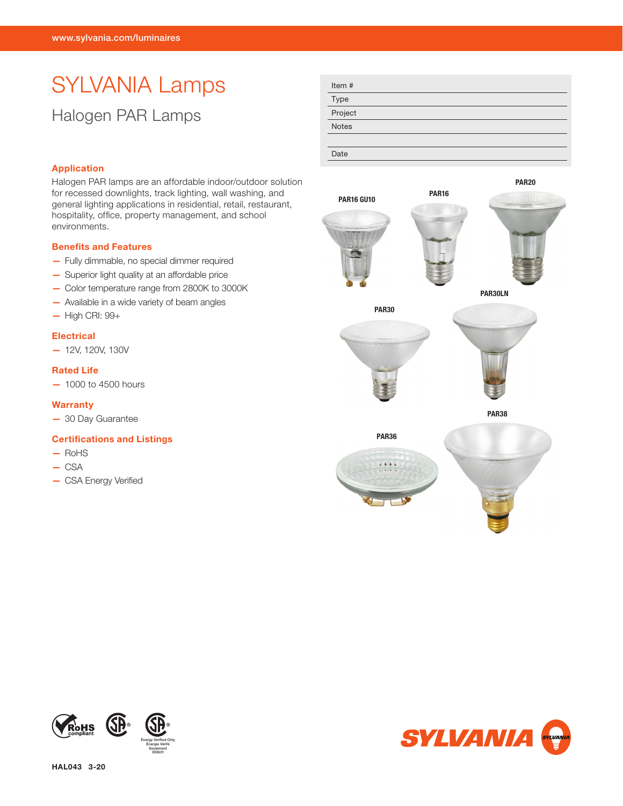# SYLVANIA Lamps Halogen PAR Lamps

| Item#        |
|--------------|
| Type         |
| Project      |
| <b>Notes</b> |
|              |
| Date         |



## Application

Halogen PAR lamps are an affordable indoor/outdoor solution for recessed downlights, track lighting, wall washing, and general lighting applications in residential, retail, restaurant, hospitality, office, property management, and school environments.

#### Benefits and Features

- Fully dimmable, no special dimmer required
- Superior light quality at an affordable price
- Color temperature range from 2800K to 3000K
- Available in a wide variety of beam angles
- High CRI: 99+

## **Electrical**

— 12V, 120V, 130V

## Rated Life

— 1000 to 4500 hours

#### **Warranty**

— 30 Day Guarantee

## Certifications and Listings

- RoHS
- CSA
- CSA Energy Verified



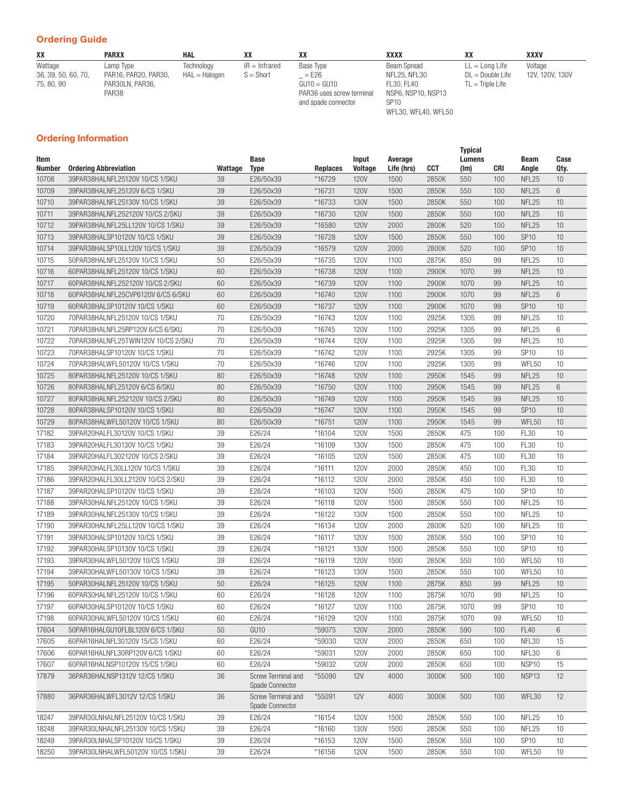## Ordering Guide

| XX                  | <b>PARXX</b>         | <b>HAL</b>    |                 | XX                        | xxxx               |                    | XXXV            |
|---------------------|----------------------|---------------|-----------------|---------------------------|--------------------|--------------------|-----------------|
| Wattage             | Lamp Type            | Technology    | $IR = Infrared$ | Base Type                 | Beam Spread        | $LL =$ Long Life   | Voltage         |
| 36, 39, 50, 60, 70, | PAR16, PAR20, PAR30, | HAL = Halogen | $S = Short$     | $=$ E26                   | NFL25. NFL30       | $DL = Double Life$ | 12V, 120V, 130V |
| 75, 80, 90          | PAR30LN, PAR36,      |               |                 | $GU10 = GU10$             | FL30, FL40         | $TL = Triple Life$ |                 |
|                     | PAR38                |               |                 | PAR36 uses screw terminal | NSP6. NSP10. NSP13 |                    |                 |
|                     |                      |               |                 | and spade connector       | <b>SP10</b>        |                    |                 |

WFL30, WFL40, WFL50

## Ordering Information

| Item<br>Number | <b>Ordering Abbreviation</b>        | Wattage | Base<br><b>Type</b>                   | <b>Replaces</b> | Input<br><b>Voltage</b> | Average<br>Life (hrs) | <b>CCT</b> | <b>Typical</b><br>Lumens<br>(lm) | <b>CRI</b> | Beam<br>Angle     | Case<br>Qty.    |
|----------------|-------------------------------------|---------|---------------------------------------|-----------------|-------------------------|-----------------------|------------|----------------------------------|------------|-------------------|-----------------|
| 10708          | 39PAR38HALNFL25120V 10/CS 1/SKU     | 39      | E26/50x39                             | *16729          | <b>120V</b>             | 1500                  | 2850K      | 550                              | 100        | NFL <sub>25</sub> | 10              |
| 10709          | 39PAR38HALNFL25120V 6/CS 1/SKU      | 39      | E26/50x39                             | *16731          | <b>120V</b>             | 1500                  | 2850K      | 550                              | 100        | NFL <sub>25</sub> | 6               |
| 10710          | 39PAR38HALNEL25130V 10/CS 1/SKU     | 39      | E26/50x39                             | *16733          | <b>130V</b>             | 1500                  | 2850K      | 550                              | 100        | NFL <sub>25</sub> | 10              |
| 10711          | 39PAR38HALNFL252120V 10/CS 2/SKU    | 39      | E26/50x39                             | *16730          | <b>120V</b>             | 1500                  | 2850K      | 550                              | 100        | NFL <sub>25</sub> | 10              |
| 10712          | 39PAR38HALNFL25LL120V 10/CS 1/SKU   | 39      | E26/50x39                             | *16580          | <b>120V</b>             | 2000                  | 2800K      | 520                              | 100        | NFL <sub>25</sub> | 10              |
| 10713          | 39PAR38HALSP10120V 10/CS 1/SKU      | 39      | E26/50x39                             | *16728          | <b>120V</b>             | 1500                  | 2850K      | 550                              | 100        | <b>SP10</b>       | 10              |
| 10714          | 39PAR38HALSP10LL120V 10/CS 1/SKU    | 39      | E26/50x39                             | *16579          | <b>120V</b>             | 2000                  | 2800K      | 520                              | 100        | <b>SP10</b>       | 10              |
| 10715          | 50PAR38HALNFL25120V 10/CS 1/SKU     | 50      | E26/50x39                             | *16735          | <b>120V</b>             | 1100                  | 2875K      | 850                              | 99         | NFL25             | 10              |
| 10716          | 60PAR38HALNFL25120V 10/CS 1/SKU     | 60      | E26/50x39                             | *16738          | <b>120V</b>             | 1100                  | 2900K      | 1070                             | 99         | NFL <sub>25</sub> | 10              |
| 10717          | 60PAR38HALNFL252120V 10/CS 2/SKU    | 60      | E26/50x39                             | *16739          | <b>120V</b>             | 1100                  | 2900K      | 1070                             | 99         | NFL25             | 10              |
| 10718          | 60PAR38HALNFL25CVP6120V 6/CS 6/SKU  | 60      | E26/50x39                             | *16740          | <b>120V</b>             | 1100                  | 2900K      | 1070                             | 99         | NFL <sub>25</sub> | $6\phantom{.}$  |
| 10719          | 60PAR38HALSP10120V 10/CS 1/SKU      | 60      | E26/50x39                             | *16737          | <b>120V</b>             | 1100                  | 2900K      | 1070                             | 99         | <b>SP10</b>       | 10              |
| 10720          | 70PAR38HALNFL25120V 10/CS 1/SKU     | 70      | E26/50x39                             | *16743          | <b>120V</b>             | 1100                  | 2925K      | 1305                             | 99         | NFL <sub>25</sub> | 10              |
| 10721          | 70PAR38HALNFL25RP120V 6/CS 6/SKU    | 70      | E26/50x39                             | *16745          | <b>120V</b>             | 1100                  | 2925K      | 1305                             | 99         | NFL25             | 6               |
| 10722          | 70PAR38HALNFL25TWIN120V 10/CS 2/SKU | 70      | E26/50x39                             | *16744          | <b>120V</b>             | 1100                  | 2925K      | 1305                             | 99         | NFL25             | 10              |
| 10723          | 70PAR38HALSP10120V 10/CS 1/SKU      | 70      | E26/50x39                             | *16742          | <b>120V</b>             | 1100                  | 2925K      | 1305                             | 99         | <b>SP10</b>       | 10              |
| 10724          | 70PAR38HALWFL50120V 10/CS 1/SKU     | 70      | E26/50x39                             | *16746          | <b>120V</b>             | 1100                  | 2925K      | 1305                             | 99         | WFL50             | 10              |
| 10725          | 80PAR38HALNFL25120V 10/CS 1/SKU     | 80      | E26/50x39                             | *16748          | <b>120V</b>             | 1100                  | 2950K      | 1545                             | 99         | NFL <sub>25</sub> | 10              |
| 10726          | 80PAR38HALNFL25120V 6/CS 6/SKU      | 80      | E26/50x39                             | *16750          | <b>120V</b>             | 1100                  | 2950K      | 1545                             | 99         | NFL25             | $6\phantom{.}$  |
| 10727          | 80PAR38HALNFL252120V 10/CS 2/SKU    | 80      | E26/50x39                             | *16749          | <b>120V</b>             | 1100                  | 2950K      | 1545                             | 99         | NFL <sub>25</sub> | 10              |
| 10728          | 80PAR38HALSP10120V 10/CS 1/SKU      | 80      | E26/50x39                             | *16747          | <b>120V</b>             | 1100                  | 2950K      | 1545                             | 99         | <b>SP10</b>       | 10              |
| 10729          | 80PAR38HALWFL50120V 10/CS 1/SKU     | 80      | E26/50x39                             | *16751          | <b>120V</b>             | 1100                  | 2950K      | 1545                             | 99         | WFL50             | 10              |
| 17182          | 39PAR20HALFL30120V 10/CS 1/SKU      | 39      | E26/24                                | *16104          | <b>120V</b>             | 1500                  | 2850K      | 475                              | 100        | <b>FL30</b>       | 10              |
| 17183          | 39PAR20HALFL30130V 10/CS 1/SKU      | 39      | E26/24                                | *16109          | <b>130V</b>             | 1500                  | 2850K      | 475                              | 100        | <b>FL30</b>       | 10              |
| 17184          | 39PAR20HALFL302120V 10/CS 2/SKU     | 39      | E26/24                                | *16105          | <b>120V</b>             | 1500                  | 2850K      | 475                              | 100        | <b>FL30</b>       | 10              |
| 17185          | 39PAR20HALFL30LL120V 10/CS 1/SKU    | 39      | E26/24                                | *16111          | <b>120V</b>             | 2000                  | 2850K      | 450                              | 100        | <b>FL30</b>       | 10              |
| 17186          | 39PAR20HALFL30LL2120V 10/CS 2/SKU   | 39      | E26/24                                | *16112          | <b>120V</b>             | 2000                  | 2850K      | 450                              | 100        | <b>FL30</b>       | 10              |
| 17187          | 39PAR20HALSP10120V 10/CS 1/SKU      | 39      | E26/24                                | *16103          | <b>120V</b>             | 1500                  | 2850K      | 475                              | 100        | <b>SP10</b>       | 10              |
| 17188          | 39PAR30HALNFL25120V 10/CS 1/SKU     | 39      | E26/24                                | *16118          | <b>120V</b>             | 1500                  | 2850K      | 550                              | 100        | NFL25             | 10              |
| 17189          | 39PAR30HALNFL25130V 10/CS 1/SKU     | 39      | E26/24                                | *16122          | <b>130V</b>             | 1500                  | 2850K      | 550                              | 100        | NFL <sub>25</sub> | 10              |
| 17190          | 39PAR30HALNFL25LL120V 10/CS 1/SKU   | 39      | E26/24                                | *16134          | <b>120V</b>             | 2000                  | 2800K      | 520                              | 100        | NFL25             | 10              |
| 17191          | 39PAR30HALSP10120V 10/CS 1/SKU      | 39      | E26/24                                | *16117          | <b>120V</b>             | 1500                  | 2850K      | 550                              | 100        | <b>SP10</b>       | 10              |
| 17192          | 39PAR30HALSP10130V 10/CS 1/SKU      | 39      | E26/24                                | *16121          | <b>130V</b>             | 1500                  | 2850K      | 550                              | 100        | <b>SP10</b>       | 10              |
| 17193          | 39PAR30HALWFL50120V 10/CS 1/SKU     | 39      | E26/24                                | *16119          | <b>120V</b>             | 1500                  | 2850K      | 550                              | 100        | WFL50             | 10              |
| 17194          | 39PAR30HALWFL50130V 10/CS 1/SKU     | 39      | E26/24                                | *16123          | <b>130V</b>             | 1500                  | 2850K      | 550                              | 100        | WFL50             | 10              |
| 17195          | 50PAR30HALNFL25120V 10/CS 1/SKU     | 50      | E26/24                                | *16125          | <b>120V</b>             | 1100                  | 2875K      | 850                              | 99         | NFL <sub>25</sub> | 10              |
| 17196          | 60PAR30HALNFL25120V 10/CS 1/SKU     | 60      | E26/24                                | *16128          | <b>120V</b>             | 1100                  | 2875K      | 1070                             | 99         | NFL <sub>25</sub> | 10              |
| 17197          | 60PAR30HALSP10120V 10/CS 1/SKU      | 60      | E26/24                                | *16127          | <b>120V</b>             | 1100                  | 2875K      | 1070                             | 99         | SP <sub>10</sub>  | 10              |
| 17198          | 60PAR30HALWFL50120V 10/CS 1/SKU     | 60      | E26/24                                | *16129          | <b>120V</b>             | 1100                  | 2875K      | 1070                             | 99         | WFL50             | 10              |
| 17604          | 50PAR16HALGU10FLBL120V 6/CS 1/SKU   | 50      | GU <sub>10</sub>                      | *59075          | <b>120V</b>             | 2000                  | 2850K      | 590                              | 100        | <b>FL40</b>       | 6               |
| 17605          | 60PAR16HALNFL30120V 15/CS 1/SKU     | 60      | E26/24                                | *59030          | <b>120V</b>             | 2000                  | 2850K      | 650                              | 100        | NFL30             | 15              |
| 17606          | 60PAR16HALNFL30RP120V 6/CS 1/SKU    | 60      | E26/24                                | *59031          | <b>120V</b>             | 2000                  | 2850K      | 650                              | 100        | NFL30             | 6               |
| 17607          | 60PAR16HALNSP10120V 15/CS 1/SKU     | 60      | E26/24                                | *59032          | <b>120V</b>             | 2000                  | 2850K      | 650                              | 100        | NSP10             | 15              |
| 17879          | 36PAR36HALNSP1312V 12/CS 1/SKU      | 36      | Screw Terminal and<br>Spade Connector | *55090          | 12V                     | 4000                  | 3000K      | 500                              | 100        | NSP <sub>13</sub> | 12              |
| 17880          | 36PAR36HALWFL3012V 12/CS 1/SKU      | 36      | Screw Terminal and<br>Spade Connector | *55091          | 12V                     | 4000                  | 3000K      | 500                              | 100        | WFL30             | 12              |
| 18247          | 39PAR30LNHALNFL25120V 10/CS 1/SKU   | 39      | E26/24                                | *16154          | <b>120V</b>             | 1500                  | 2850K      | 550                              | 100        | NFL <sub>25</sub> | 10 <sup>°</sup> |
| 18248          | 39PAR30LNHALNFL25130V 10/CS 1/SKU   | 39      | E26/24                                | *16160          | <b>130V</b>             | 1500                  | 2850K      | 550                              | 100        | NFL <sub>25</sub> | 10              |
| 18249          | 39PAR30LNHALSP10120V 10/CS 1/SKU    | 39      | E26/24                                | *16153          | <b>120V</b>             | 1500                  | 2850K      | 550                              | 100        | SP <sub>10</sub>  | 10 <sup>°</sup> |
| 18250          | 39PAR30LNHALWFL50120V 10/CS 1/SKU   | 39      | E26/24                                | *16156          | <b>120V</b>             | 1500                  | 2850K      | 550                              | 100        | WFL50             | 10 <sup>°</sup> |
|                |                                     |         |                                       |                 |                         |                       |            |                                  |            |                   |                 |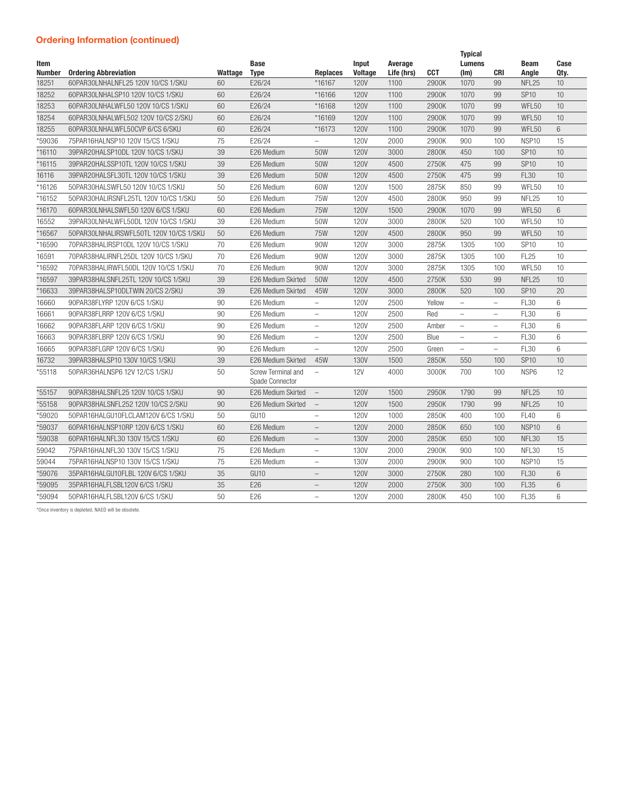## Ordering Information (continued)

| Item<br><b>Number</b> | <b>Ordering Abbreviation</b>            | Wattage | <b>Base</b><br><b>Type</b>            | <b>Replaces</b>          | <b>Input</b><br><b>Voltage</b> | Average<br>Life (hrs) | <b>CCT</b> | <b>Typical</b><br><b>Lumens</b><br>(lm) | <b>CRI</b>               | <b>Beam</b><br>Angle | Case<br>Qty.    |
|-----------------------|-----------------------------------------|---------|---------------------------------------|--------------------------|--------------------------------|-----------------------|------------|-----------------------------------------|--------------------------|----------------------|-----------------|
| 18251                 | 60PAR30LNHALNFL25 120V 10/CS 1/SKU      | 60      | E26/24                                | *16167                   | <b>120V</b>                    | 1100                  | 2900K      | 1070                                    | 99                       | NFL <sub>25</sub>    | 10              |
| 18252                 | 60PAR30LNHALSP10 120V 10/CS 1/SKU       | 60      | E26/24                                | *16166                   | <b>120V</b>                    | 1100                  | 2900K      | 1070                                    | 99                       | <b>SP10</b>          | 10              |
| 18253                 | 60PAR30LNHALWFL50 120V 10/CS 1/SKU      | 60      | E26/24                                | *16168                   | <b>120V</b>                    | 1100                  | 2900K      | 1070                                    | 99                       | WFL50                | 10              |
| 18254                 | 60PAR30LNHALWFL502 120V 10/CS 2/SKU     | 60      | E26/24                                | *16169                   | <b>120V</b>                    | 1100                  | 2900K      | 1070                                    | 99                       | WFL50                | 10              |
| 18255                 | 60PAR30LNHALWFL50CVP 6/CS 6/SKU         | 60      | E26/24                                | *16173                   | <b>120V</b>                    | 1100                  | 2900K      | 1070                                    | 99                       | WFL50                | 6               |
| *59036                | 75PAR16HALNSP10 120V 15/CS 1/SKU        | 75      | E26/24                                | $\overline{\phantom{0}}$ | <b>120V</b>                    | 2000                  | 2900K      | 900                                     | 100                      | NSP <sub>10</sub>    | 15              |
| *16110                | 39PAR20HALSP10DL 120V 10/CS 1/SKU       | 39      | E26 Medium                            | 50W                      | <b>120V</b>                    | 3000                  | 2800K      | 450                                     | 100                      | <b>SP10</b>          | 10              |
| *16115                | 39PAR20HALSSP10TL 120V 10/CS 1/SKU      | 39      | E26 Medium                            | 50W                      | <b>120V</b>                    | 4500                  | 2750K      | 475                                     | 99                       | <b>SP10</b>          | 10              |
| 16116                 | 39PAR20HALSFL30TL 120V 10/CS 1/SKU      | 39      | E26 Medium                            | 50W                      | <b>120V</b>                    | 4500                  | 2750K      | 475                                     | 99                       | <b>FL30</b>          | 10              |
| *16126                | 50PAR30HALSWFL50 120V 10/CS 1/SKU       | 50      | E26 Medium                            | 60W                      | <b>120V</b>                    | 1500                  | 2875K      | 850                                     | 99                       | WFL50                | 10              |
| *16152                | 50PAR30HALIRSNFL25TL 120V 10/CS 1/SKU   | 50      | E26 Medium                            | 75W                      | <b>120V</b>                    | 4500                  | 2800K      | 950                                     | 99                       | NFL <sub>25</sub>    | 10              |
| *16170                | 60PAR30LNHALSWFL50 120V 6/CS 1/SKU      | 60      | E26 Medium                            | <b>75W</b>               | <b>120V</b>                    | 1500                  | 2900K      | 1070                                    | 99                       | WFL50                | $6\phantom{1}$  |
| 16552                 | 39PAR30LNHALWFL50DL 120V 10/CS 1/SKU    | 39      | E26 Medium                            | 50W                      | <b>120V</b>                    | 3000                  | 2800K      | 520                                     | 100                      | WFL50                | 10              |
| *16567                | 50PAR30LNHALIRSWFL50TL 120V 10/CS 1/SKU | 50      | E26 Medium                            | <b>75W</b>               | <b>120V</b>                    | 4500                  | 2800K      | 950                                     | 99                       | WFL50                | 10              |
| *16590                | 70PAR38HALIRSP10DL 120V 10/CS 1/SKU     | 70      | E26 Medium                            | 90W                      | <b>120V</b>                    | 3000                  | 2875K      | 1305                                    | 100                      | <b>SP10</b>          | 10              |
| 16591                 | 70PAR38HALIRNFL25DL 120V 10/CS 1/SKU    | 70      | E26 Medium                            | 90W                      | <b>120V</b>                    | 3000                  | 2875K      | 1305                                    | 100                      | <b>FL25</b>          | 10              |
| *16592                | 70PAR38HALIRWFL50DL 120V 10/CS 1/SKU    | 70      | E26 Medium                            | 90W                      | <b>120V</b>                    | 3000                  | 2875K      | 1305                                    | 100                      | WFL50                | 10              |
| *16597                | 39PAR38HALSNFL25TL 120V 10/CS 1/SKU     | 39      | E26 Medium Skirted                    | 50W                      | <b>120V</b>                    | 4500                  | 2750K      | 530                                     | 99                       | NFL <sub>25</sub>    | 10              |
| *16633                | 39PAR38HALSP10DLTWIN 20/CS 2/SKU        | 39      | E26 Medium Skirted                    | 45W                      | <b>120V</b>                    | 3000                  | 2800K      | 520                                     | 100                      | <b>SP10</b>          | 20              |
| 16660                 | 90PAR38FLYRP 120V 6/CS 1/SKU            | 90      | E26 Medium                            | $\overline{\phantom{0}}$ | <b>120V</b>                    | 2500                  | Yellow     | $-$                                     | $\overline{a}$           | <b>FL30</b>          | 6               |
| 16661                 | 90PAR38FLRRP 120V 6/CS 1/SKU            | 90      | E26 Medium                            |                          | <b>120V</b>                    | 2500                  | Red        | $\overline{\phantom{0}}$                | $\overline{\phantom{0}}$ | <b>FL30</b>          | 6               |
| 16662                 | 90PAR38FLARP 120V 6/CS 1/SKU            | 90      | E26 Medium                            | $\overline{\phantom{0}}$ | <b>120V</b>                    | 2500                  | Amber      | $\overline{a}$                          | $\overline{\phantom{0}}$ | <b>FL30</b>          | 6               |
| 16663                 | 90PAR38FLBRP 120V 6/CS 1/SKU            | 90      | E26 Medium                            | $\overline{\phantom{a}}$ | <b>120V</b>                    | 2500                  | Blue       | $\overline{a}$                          | $\overline{\phantom{0}}$ | <b>FL30</b>          | 6               |
| 16665                 | 90PAR38FLGRP 120V 6/CS 1/SKU            | 90      | E26 Medium                            | $\overline{a}$           | <b>120V</b>                    | 2500                  | Green      | $\overline{\phantom{0}}$                | $\overline{a}$           | <b>FL30</b>          | 6               |
| 16732                 | 39PAR38HALSP10 130V 10/CS 1/SKU         | 39      | E26 Medium Skirted                    | 45W                      | <b>130V</b>                    | 1500                  | 2850K      | 550                                     | 100                      | <b>SP10</b>          | 10              |
| *55118                | 50PAR36HALNSP6 12V 12/CS 1/SKU          | 50      | Screw Terminal and<br>Spade Connector | $\qquad \qquad -$        | <b>12V</b>                     | 4000                  | 3000K      | 700                                     | 100                      | NSP6                 | 12              |
| *55157                | 90PAR38HALSNFL25 120V 10/CS 1/SKU       | 90      | E26 Medium Skirted                    | $\overline{\phantom{a}}$ | <b>120V</b>                    | 1500                  | 2950K      | 1790                                    | 99                       | NFL <sub>25</sub>    | 10              |
| *55158                | 90PAR38HALSNFL252 120V 10/CS 2/SKU      | 90      | E26 Medium Skirted                    | $\overline{\phantom{a}}$ | <b>120V</b>                    | 1500                  | 2950K      | 1790                                    | 99                       | NFL <sub>25</sub>    | 10              |
| *59020                | 50PAR16HALGU10FLCLAM120V 6/CS 1/SKU     | 50      | GU10                                  | $\overline{a}$           | <b>120V</b>                    | 1000                  | 2850K      | 400                                     | 100                      | <b>FL40</b>          | 6               |
| *59037                | 60PAR16HALNSP10RP 120V 6/CS 1/SKU       | 60      | E26 Medium                            | $\overline{\phantom{0}}$ | <b>120V</b>                    | 2000                  | 2850K      | 650                                     | 100                      | NSP <sub>10</sub>    | $6\overline{6}$ |
| *59038                | 60PAR16HALNFL30 130V 15/CS 1/SKU        | 60      | E26 Medium                            | $-$                      | <b>130V</b>                    | 2000                  | 2850K      | 650                                     | 100                      | NFL30                | 15              |
| 59042                 | 75PAR16HALNFL30 130V 15/CS 1/SKU        | 75      | E26 Medium                            | $\equiv$                 | <b>130V</b>                    | 2000                  | 2900K      | 900                                     | 100                      | NFL30                | 15              |
| 59044                 | 75PAR16HALNSP10 130V 15/CS 1/SKU        | 75      | E26 Medium                            | $\overline{\phantom{a}}$ | <b>130V</b>                    | 2000                  | 2900K      | 900                                     | 100                      | NSP <sub>10</sub>    | 15              |
| *59076                | 35PAR16HALGU10FLBL 120V 6/CS 1/SKU      | 35      | GU <sub>10</sub>                      | $\overline{\phantom{0}}$ | <b>120V</b>                    | 3000                  | 2750K      | 280                                     | 100                      | <b>FL30</b>          | 6               |
| *59095                | 35PAR16HALFLSBL120V 6/CS 1/SKU          | 35      | E26                                   | $\overline{\phantom{0}}$ | <b>120V</b>                    | 2000                  | 2750K      | 300                                     | 100                      | <b>FL35</b>          | $6\phantom{1}$  |
| *59094                | 50PAR16HALFLSBL120V 6/CS 1/SKU          | 50      | E26                                   | $\overline{\phantom{0}}$ | <b>120V</b>                    | 2000                  | 2800K      | 450                                     | 100                      | <b>FL35</b>          | 6               |

\*Once inventory is depleted, NAED will be obsolete.